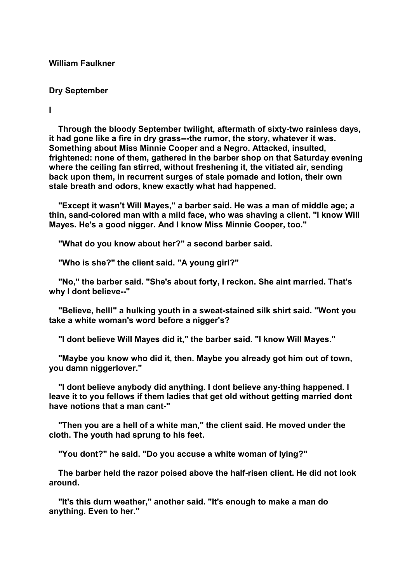# William Faulkner

#### Dry September

I

 Through the bloody September twilight, aftermath of sixty-two rainless days, it had gone like a fire in dry grass---the rumor, the story, whatever it was. Something about Miss Minnie Cooper and a Negro. Attacked, insulted, frightened: none of them, gathered in the barber shop on that Saturday evening where the ceiling fan stirred, without freshening it, the vitiated air, sending back upon them, in recurrent surges of stale pomade and lotion, their own stale breath and odors, knew exactly what had happened.

 "Except it wasn't Will Mayes," a barber said. He was a man of middle age; a thin, sand-colored man with a mild face, who was shaving a client. "I know Will Mayes. He's a good nigger. And I know Miss Minnie Cooper, too."

"What do you know about her?" a second barber said.

"Who is she?" the client said. "A young girl?"

 "No," the barber said. "She's about forty, I reckon. She aint married. That's why I dont believe--"

 "Believe, hell!" a hulking youth in a sweat-stained silk shirt said. "Wont you take a white woman's word before a nigger's?

"I dont believe Will Mayes did it," the barber said. "I know Will Mayes."

 "Maybe you know who did it, then. Maybe you already got him out of town, you damn niggerlover."

 "I dont believe anybody did anything. I dont believe any-thing happened. I leave it to you fellows if them ladies that get old without getting married dont have notions that a man cant-"

 "Then you are a hell of a white man," the client said. He moved under the cloth. The youth had sprung to his feet.

"You dont?" he said. "Do you accuse a white woman of lying?"

 The barber held the razor poised above the half-risen client. He did not look around.

 "It's this durn weather," another said. "It's enough to make a man do anything. Even to her."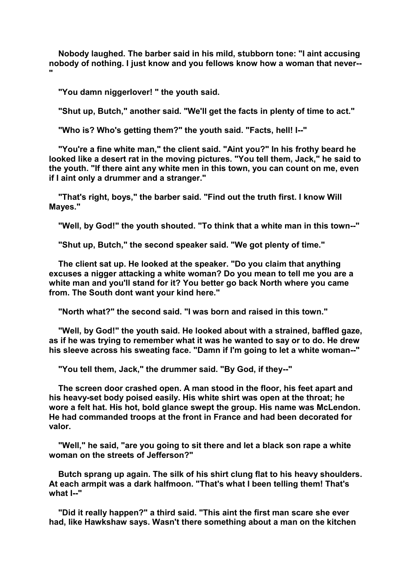Nobody laughed. The barber said in his mild, stubborn tone: "I aint accusing nobody of nothing. I just know and you fellows know how a woman that never-- "

"You damn niggerlover! " the youth said.

"Shut up, Butch," another said. "We'll get the facts in plenty of time to act."

"Who is? Who's getting them?" the youth said. "Facts, hell! I--"

 "You're a fine white man," the client said. "Aint you?" In his frothy beard he looked like a desert rat in the moving pictures. "You tell them, Jack," he said to the youth. "If there aint any white men in this town, you can count on me, even if I aint only a drummer and a stranger."

 "That's right, boys," the barber said. "Find out the truth first. I know Will Mayes."

"Well, by God!" the youth shouted. "To think that a white man in this town--"

"Shut up, Butch," the second speaker said. "We got plenty of time."

 The client sat up. He looked at the speaker. "Do you claim that anything excuses a nigger attacking a white woman? Do you mean to tell me you are a white man and you'll stand for it? You better go back North where you came from. The South dont want your kind here."

"North what?" the second said. "I was born and raised in this town."

 "Well, by God!" the youth said. He looked about with a strained, baffled gaze, as if he was trying to remember what it was he wanted to say or to do. He drew his sleeve across his sweating face. "Damn if I'm going to let a white woman--"

"You tell them, Jack," the drummer said. "By God, if they--"

 The screen door crashed open. A man stood in the floor, his feet apart and his heavy-set body poised easily. His white shirt was open at the throat; he wore a felt hat. His hot, bold glance swept the group. His name was McLendon. He had commanded troops at the front in France and had been decorated for valor.

 "Well," he said, "are you going to sit there and let a black son rape a white woman on the streets of Jefferson?"

 Butch sprang up again. The silk of his shirt clung flat to his heavy shoulders. At each armpit was a dark halfmoon. "That's what I been telling them! That's what I--"

 "Did it really happen?" a third said. "This aint the first man scare she ever had, like Hawkshaw says. Wasn't there something about a man on the kitchen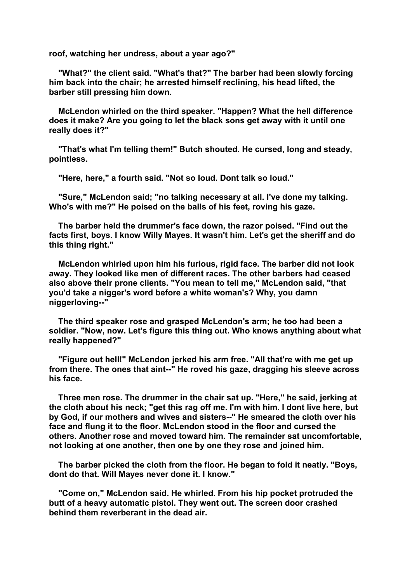roof, watching her undress, about a year ago?"

 "What?" the client said. "What's that?" The barber had been slowly forcing him back into the chair; he arrested himself reclining, his head lifted, the barber still pressing him down.

 McLendon whirled on the third speaker. "Happen? What the hell difference does it make? Are you going to let the black sons get away with it until one really does it?"

 "That's what I'm telling them!" Butch shouted. He cursed, long and steady, pointless.

"Here, here," a fourth said. "Not so loud. Dont talk so loud."

 "Sure," McLendon said; "no talking necessary at all. I've done my talking. Who's with me?" He poised on the balls of his feet, roving his gaze.

 The barber held the drummer's face down, the razor poised. "Find out the facts first, boys. I know Willy Mayes. It wasn't him. Let's get the sheriff and do this thing right."

 McLendon whirled upon him his furious, rigid face. The barber did not look away. They looked like men of different races. The other barbers had ceased also above their prone clients. "You mean to tell me," McLendon said, "that you'd take a nigger's word before a white woman's? Why, you damn niggerloving--"

 The third speaker rose and grasped McLendon's arm; he too had been a soldier. "Now, now. Let's figure this thing out. Who knows anything about what really happened?"

 "Figure out hell!" McLendon jerked his arm free. "All that're with me get up from there. The ones that aint--" He roved his gaze, dragging his sleeve across his face.

 Three men rose. The drummer in the chair sat up. "Here," he said, jerking at the cloth about his neck; "get this rag off me. I'm with him. I dont live here, but by God, if our mothers and wives and sisters--" He smeared the cloth over his face and flung it to the floor. McLendon stood in the floor and cursed the others. Another rose and moved toward him. The remainder sat uncomfortable, not looking at one another, then one by one they rose and joined him.

 The barber picked the cloth from the floor. He began to fold it neatly. "Boys, dont do that. Will Mayes never done it. I know."

 "Come on," McLendon said. He whirled. From his hip pocket protruded the butt of a heavy automatic pistol. They went out. The screen door crashed behind them reverberant in the dead air.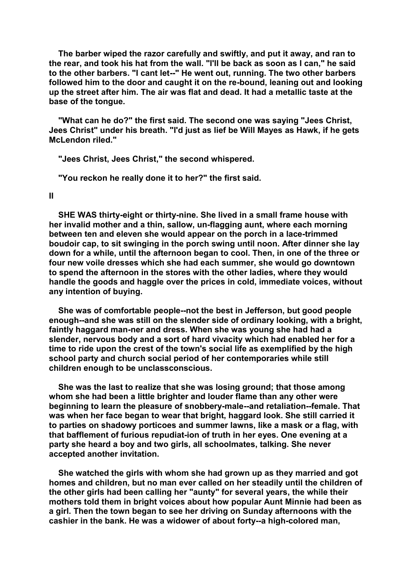The barber wiped the razor carefully and swiftly, and put it away, and ran to the rear, and took his hat from the wall. "I'll be back as soon as I can," he said to the other barbers. "I cant let--" He went out, running. The two other barbers followed him to the door and caught it on the re-bound, leaning out and looking up the street after him. The air was flat and dead. It had a metallic taste at the base of the tongue.

 "What can he do?" the first said. The second one was saying "Jees Christ, Jees Christ" under his breath. "I'd just as lief be Will Mayes as Hawk, if he gets McLendon riled."

"Jees Christ, Jees Christ," the second whispered.

"You reckon he really done it to her?" the first said.

#### II

 SHE WAS thirty-eight or thirty-nine. She lived in a small frame house with her invalid mother and a thin, sallow, un-flagging aunt, where each morning between ten and eleven she would appear on the porch in a lace-trimmed boudoir cap, to sit swinging in the porch swing until noon. After dinner she lay down for a while, until the afternoon began to cool. Then, in one of the three or four new voile dresses which she had each summer, she would go downtown to spend the afternoon in the stores with the other ladies, where they would handle the goods and haggle over the prices in cold, immediate voices, without any intention of buying.

 She was of comfortable people--not the best in Jefferson, but good people enough--and she was still on the slender side of ordinary looking, with a bright, faintly haggard man-ner and dress. When she was young she had had a slender, nervous body and a sort of hard vivacity which had enabled her for a time to ride upon the crest of the town's social life as exemplified by the high school party and church social period of her contemporaries while still children enough to be unclassconscious.

 She was the last to realize that she was losing ground; that those among whom she had been a little brighter and louder flame than any other were beginning to learn the pleasure of snobbery-male--and retaliation--female. That was when her face began to wear that bright, haggard look. She still carried it to parties on shadowy porticoes and summer lawns, like a mask or a flag, with that bafflement of furious repudiat-ion of truth in her eyes. One evening at a party she heard a boy and two girls, all schoolmates, talking. She never accepted another invitation.

 She watched the girls with whom she had grown up as they married and got homes and children, but no man ever called on her steadily until the children of the other girls had been calling her "aunty" for several years, the while their mothers told them in bright voices about how popular Aunt Minnie had been as a girl. Then the town began to see her driving on Sunday afternoons with the cashier in the bank. He was a widower of about forty--a high-colored man,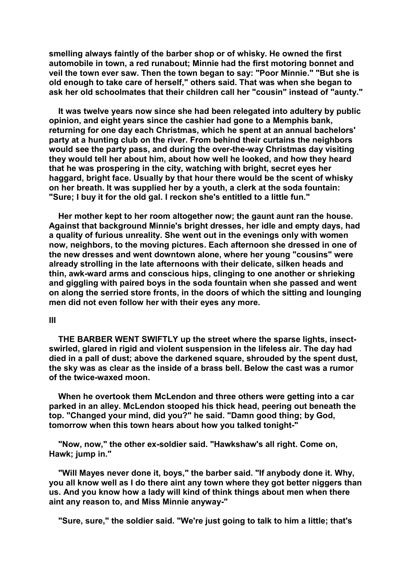smelling always faintly of the barber shop or of whisky. He owned the first automobile in town, a red runabout; Minnie had the first motoring bonnet and veil the town ever saw. Then the town began to say: "Poor Minnie." "But she is old enough to take care of herself," others said. That was when she began to ask her old schoolmates that their children call her "cousin" instead of "aunty."

 It was twelve years now since she had been relegated into adultery by public opinion, and eight years since the cashier had gone to a Memphis bank, returning for one day each Christmas, which he spent at an annual bachelors' party at a hunting club on the river. From behind their curtains the neighbors would see the party pass, and during the over-the-way Christmas day visiting they would tell her about him, about how well he looked, and how they heard that he was prospering in the city, watching with bright, secret eyes her haggard, bright face. Usually by that hour there would be the scent of whisky on her breath. It was supplied her by a youth, a clerk at the soda fountain: "Sure; I buy it for the old gal. I reckon she's entitled to a little fun."

 Her mother kept to her room altogether now; the gaunt aunt ran the house. Against that background Minnie's bright dresses, her idle and empty days, had a quality of furious unreality. She went out in the evenings only with women now, neighbors, to the moving pictures. Each afternoon she dressed in one of the new dresses and went downtown alone, where her young "cousins" were already strolling in the late afternoons with their delicate, silken heads and thin, awk-ward arms and conscious hips, clinging to one another or shrieking and giggling with paired boys in the soda fountain when she passed and went on along the serried store fronts, in the doors of which the sitting and lounging men did not even follow her with their eyes any more.

## III

 THE BARBER WENT SWIFTLY up the street where the sparse lights, insectswirled, glared in rigid and violent suspension in the lifeless air. The day had died in a pall of dust; above the darkened square, shrouded by the spent dust, the sky was as clear as the inside of a brass bell. Below the cast was a rumor of the twice-waxed moon.

 When he overtook them McLendon and three others were getting into a car parked in an alley. McLendon stooped his thick head, peering out beneath the top. "Changed your mind, did you?" he said. "Damn good thing; by God, tomorrow when this town hears about how you talked tonight-"

 "Now, now," the other ex-soldier said. "Hawkshaw's all right. Come on, Hawk; jump in."

 "Will Mayes never done it, boys," the barber said. "If anybody done it. Why, you all know well as I do there aint any town where they got better niggers than us. And you know how a lady will kind of think things about men when there aint any reason to, and Miss Minnie anyway-"

"Sure, sure," the soldier said. "We're just going to talk to him a little; that's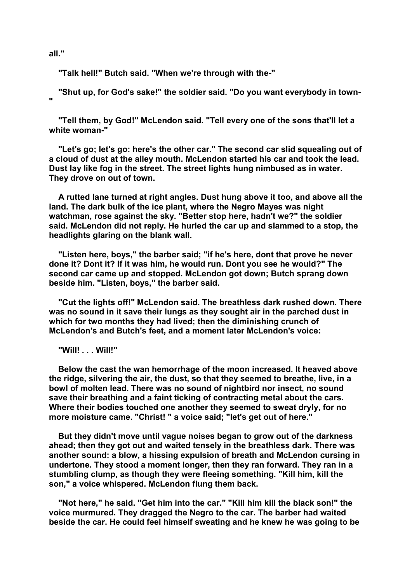"Talk hell!" Butch said. "When we're through with the-"

"Shut up, for God's sake!" the soldier said. "Do you want everybody in town-

 "Tell them, by God!" McLendon said. "Tell every one of the sons that'll let a white woman-"

 "Let's go; let's go: here's the other car." The second car slid squealing out of a cloud of dust at the alley mouth. McLendon started his car and took the lead. Dust lay like fog in the street. The street lights hung nimbused as in water. They drove on out of town.

 A rutted lane turned at right angles. Dust hung above it too, and above all the land. The dark bulk of the ice plant, where the Negro Mayes was night watchman, rose against the sky. "Better stop here, hadn't we?" the soldier said. McLendon did not reply. He hurled the car up and slammed to a stop, the headlights glaring on the blank wall.

 "Listen here, boys," the barber said; "if he's here, dont that prove he never done it? Dont it? If it was him, he would run. Dont you see he would?" The second car came up and stopped. McLendon got down; Butch sprang down beside him. "Listen, boys," the barber said.

 "Cut the lights off!" McLendon said. The breathless dark rushed down. There was no sound in it save their lungs as they sought air in the parched dust in which for two months they had lived; then the diminishing crunch of McLendon's and Butch's feet, and a moment later McLendon's voice:

"Will! . . . Will!"

 Below the cast the wan hemorrhage of the moon increased. It heaved above the ridge, silvering the air, the dust, so that they seemed to breathe, live, in a bowl of molten lead. There was no sound of nightbird nor insect, no sound save their breathing and a faint ticking of contracting metal about the cars. Where their bodies touched one another they seemed to sweat dryly, for no more moisture came. "Christ! " a voice said; "let's get out of here."

 But they didn't move until vague noises began to grow out of the darkness ahead; then they got out and waited tensely in the breathless dark. There was another sound: a blow, a hissing expulsion of breath and McLendon cursing in undertone. They stood a moment longer, then they ran forward. They ran in a stumbling clump, as though they were fleeing something. "Kill him, kill the son," a voice whispered. McLendon flung them back.

 "Not here," he said. "Get him into the car." "Kill him kill the black son!" the voice murmured. They dragged the Negro to the car. The barber had waited beside the car. He could feel himself sweating and he knew he was going to be

all."

"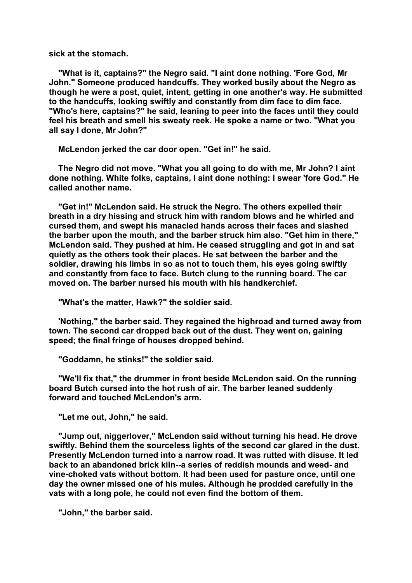sick at the stomach.

 "What is it, captains?" the Negro said. "I aint done nothing. 'Fore God, Mr John." Someone produced handcuffs. They worked busily about the Negro as though he were a post, quiet, intent, getting in one another's way. He submitted to the handcuffs, looking swiftly and constantly from dim face to dim face. "Who's here, captains?" he said, leaning to peer into the faces until they could feel his breath and smell his sweaty reek. He spoke a name or two. "What you all say I done, Mr John?"

McLendon jerked the car door open. "Get in!" he said.

 The Negro did not move. "What you all going to do with me, Mr John? I aint done nothing. White folks, captains, I aint done nothing: I swear 'fore God." He called another name.

 "Get in!" McLendon said. He struck the Negro. The others expelled their breath in a dry hissing and struck him with random blows and he whirled and cursed them, and swept his manacled hands across their faces and slashed the barber upon the mouth, and the barber struck him also. "Get him in there," McLendon said. They pushed at him. He ceased struggling and got in and sat quietly as the others took their places. He sat between the barber and the soldier, drawing his limbs in so as not to touch them, his eyes going swiftly and constantly from face to face. Butch clung to the running board. The car moved on. The barber nursed his mouth with his handkerchief.

"What's the matter, Hawk?" the soldier said.

 'Nothing," the barber said. They regained the highroad and turned away from town. The second car dropped back out of the dust. They went on, gaining speed; the final fringe of houses dropped behind.

"Goddamn, he stinks!" the soldier said.

 "We'll fix that," the drummer in front beside McLendon said. On the running board Butch cursed into the hot rush of air. The barber leaned suddenly forward and touched McLendon's arm.

"Let me out, John," he said.

 "Jump out, niggerlover," McLendon said without turning his head. He drove swiftly. Behind them the sourceless lights of the second car glared in the dust. Presently McLendon turned into a narrow road. It was rutted with disuse. It led back to an abandoned brick kiln--a series of reddish mounds and weed- and vine-choked vats without bottom. It had been used for pasture once, until one day the owner missed one of his mules. Although he prodded carefully in the vats with a long pole, he could not even find the bottom of them.

"John," the barber said.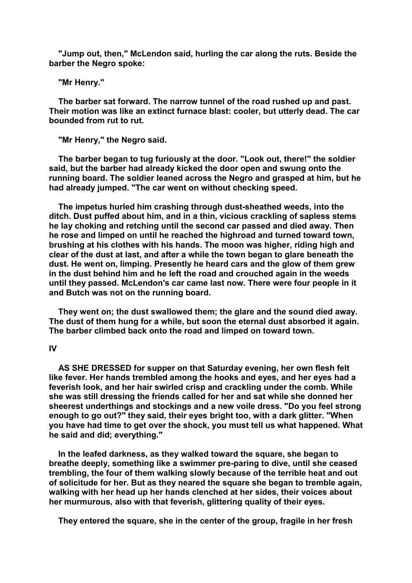"Jump out, then," McLendon said, hurling the car along the ruts. Beside the barber the Negro spoke:

"Mr Henry."

 The barber sat forward. The narrow tunnel of the road rushed up and past. Their motion was like an extinct furnace blast: cooler, but utterly dead. The car bounded from rut to rut.

"Mr Henry," the Negro said.

 The barber began to tug furiously at the door. "Look out, there!" the soldier said, but the barber had already kicked the door open and swung onto the running board. The soldier leaned across the Negro and grasped at him, but he had already jumped. "The car went on without checking speed.

 The impetus hurled him crashing through dust-sheathed weeds, into the ditch. Dust puffed about him, and in a thin, vicious crackling of sapless stems he lay choking and retching until the second car passed and died away. Then he rose and limped on until he reached the highroad and turned toward town, brushing at his clothes with his hands. The moon was higher, riding high and clear of the dust at last, and after a while the town began to glare beneath the dust. He went on, limping. Presently he heard cars and the glow of them grew in the dust behind him and he left the road and crouched again in the weeds until they passed. McLendon's car came last now. There were four people in it and Butch was not on the running board.

 They went on; the dust swallowed them; the glare and the sound died away. The dust of them hung for a while, but soon the eternal dust absorbed it again. The barber climbed back onto the road and limped on toward town.

### IV

 AS SHE DRESSED for supper on that Saturday evening, her own flesh felt like fever. Her hands trembled among the hooks and eyes, and her eyes had a feverish look, and her hair swirled crisp and crackling under the comb. While she was still dressing the friends called for her and sat while she donned her sheerest underthings and stockings and a new voile dress. "Do you feel strong enough to go out?" they said, their eyes bright too, with a dark glitter. "When you have had time to get over the shock, you must tell us what happened. What he said and did; everything."

 In the leafed darkness, as they walked toward the square, she began to breathe deeply, something like a swimmer pre-paring to dive, until she ceased trembling, the four of them walking slowly because of the terrible heat and out of solicitude for her. But as they neared the square she began to tremble again, walking with her head up her hands clenched at her sides, their voices about her murmurous, also with that feverish, glittering quality of their eyes.

They entered the square, she in the center of the group, fragile in her fresh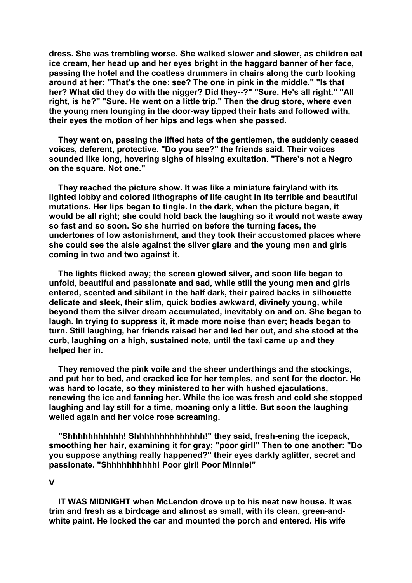dress. She was trembling worse. She walked slower and slower, as children eat ice cream, her head up and her eyes bright in the haggard banner of her face, passing the hotel and the coatless drummers in chairs along the curb looking around at her: "That's the one: see? The one in pink in the middle." "Is that her? What did they do with the nigger? Did they--?" "Sure. He's all right." "All right, is he?" "Sure. He went on a little trip." Then the drug store, where even the young men lounging in the door-way tipped their hats and followed with, their eyes the motion of her hips and legs when she passed.

 They went on, passing the lifted hats of the gentlemen, the suddenly ceased voices, deferent, protective. "Do you see?" the friends said. Their voices sounded like long, hovering sighs of hissing exultation. "There's not a Negro on the square. Not one."

 They reached the picture show. It was like a miniature fairyland with its lighted lobby and colored lithographs of life caught in its terrible and beautiful mutations. Her lips began to tingle. In the dark, when the picture began, it would be all right; she could hold back the laughing so it would not waste away so fast and so soon. So she hurried on before the turning faces, the undertones of low astonishment, and they took their accustomed places where she could see the aisle against the silver glare and the young men and girls coming in two and two against it.

 The lights flicked away; the screen glowed silver, and soon life began to unfold, beautiful and passionate and sad, while still the young men and girls entered, scented and sibilant in the half dark, their paired backs in silhouette delicate and sleek, their slim, quick bodies awkward, divinely young, while beyond them the silver dream accumulated, inevitably on and on. She began to laugh. In trying to suppress it, it made more noise than ever; heads began to turn. Still laughing, her friends raised her and led her out, and she stood at the curb, laughing on a high, sustained note, until the taxi came up and they helped her in.

 They removed the pink voile and the sheer underthings and the stockings, and put her to bed, and cracked ice for her temples, and sent for the doctor. He was hard to locate, so they ministered to her with hushed ejaculations, renewing the ice and fanning her. While the ice was fresh and cold she stopped laughing and lay still for a time, moaning only a little. But soon the laughing welled again and her voice rose screaming.

 "Shhhhhhhhhhh! Shhhhhhhhhhhhhh!" they said, fresh-ening the icepack, smoothing her hair, examining it for gray; "poor girl!" Then to one another: "Do you suppose anything really happened?" their eyes darkly aglitter, secret and passionate. "Shhhhhhhhhh! Poor girl! Poor Minnie!"

## V

 IT WAS MIDNIGHT when McLendon drove up to his neat new house. It was trim and fresh as a birdcage and almost as small, with its clean, green-andwhite paint. He locked the car and mounted the porch and entered. His wife